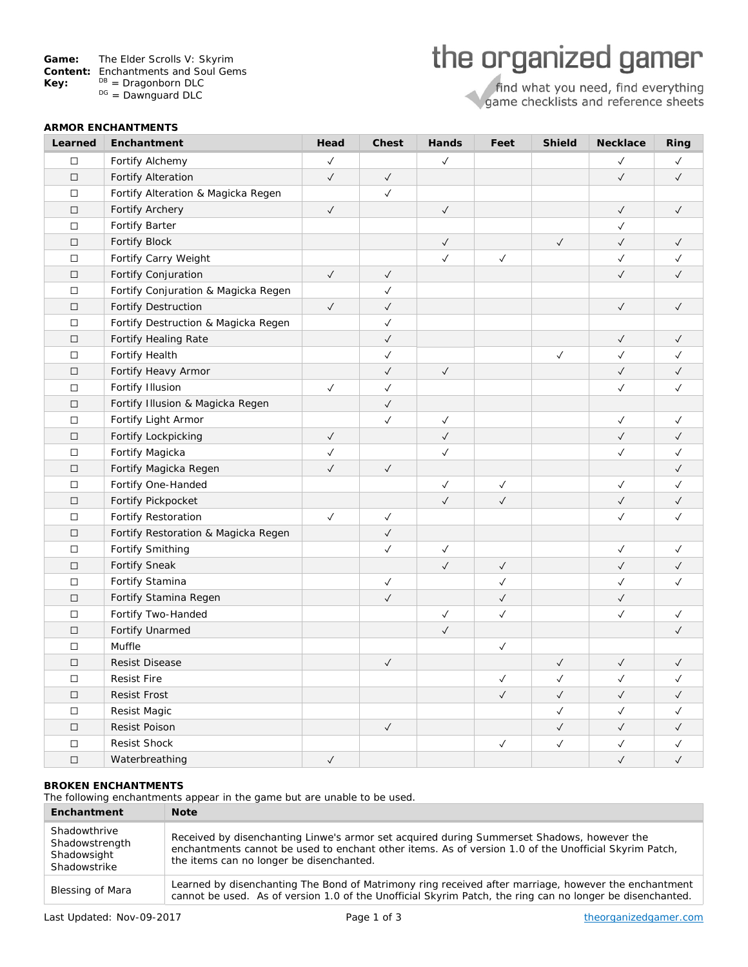| Game: |  |  |  | The Elder Scrolls V: Skyrim |
|-------|--|--|--|-----------------------------|
|-------|--|--|--|-----------------------------|

- **Content:** Enchantments and Soul Gems<br>**Key:** <sup>DB</sup> = Dragonborn DLC
- **Key:**  $\begin{array}{r} DB =$  Dragonborn DLC  $\begin{array}{r} DE =$  Dawnguard DLC

# the organized gamer

find what you need, find everything<br>game checklists and reference sheets

| <b>ARMOR ENCHANTMENTS</b> |                                     |              |              |              |              |              |              |              |
|---------------------------|-------------------------------------|--------------|--------------|--------------|--------------|--------------|--------------|--------------|
| Learned                   | Enchantment                         | Head         | <b>Chest</b> | Hands        | Feet         | Shield       | Necklace     | Ring         |
| $\Box$                    | Fortify Alchemy                     | $\checkmark$ |              | $\checkmark$ |              |              | $\checkmark$ | $\checkmark$ |
| $\Box$                    | Fortify Alteration                  | $\checkmark$ | $\checkmark$ |              |              |              | $\checkmark$ | $\checkmark$ |
| $\Box$                    | Fortify Alteration & Magicka Regen  |              | $\checkmark$ |              |              |              |              |              |
| $\Box$                    | Fortify Archery                     | $\checkmark$ |              | $\checkmark$ |              |              | $\checkmark$ | $\checkmark$ |
| $\Box$                    | Fortify Barter                      |              |              |              |              |              | $\checkmark$ |              |
| $\Box$                    | Fortify Block                       |              |              | $\checkmark$ |              | $\checkmark$ | $\checkmark$ | $\checkmark$ |
| $\Box$                    | Fortify Carry Weight                |              |              | $\checkmark$ | $\checkmark$ |              | $\checkmark$ | $\checkmark$ |
| $\Box$                    | Fortify Conjuration                 | $\checkmark$ | $\checkmark$ |              |              |              | $\checkmark$ | $\checkmark$ |
| $\Box$                    | Fortify Conjuration & Magicka Regen |              | $\checkmark$ |              |              |              |              |              |
| $\Box$                    | <b>Fortify Destruction</b>          | $\checkmark$ | $\checkmark$ |              |              |              | $\checkmark$ | $\checkmark$ |
| $\Box$                    | Fortify Destruction & Magicka Regen |              | $\checkmark$ |              |              |              |              |              |
| $\Box$                    | Fortify Healing Rate                |              | $\checkmark$ |              |              |              | $\checkmark$ | $\checkmark$ |
| $\Box$                    | Fortify Health                      |              | $\checkmark$ |              |              | $\checkmark$ | $\checkmark$ | $\checkmark$ |
| $\Box$                    | Fortify Heavy Armor                 |              | $\checkmark$ | $\checkmark$ |              |              | $\checkmark$ | $\checkmark$ |
| $\Box$                    | Fortify Illusion                    | $\checkmark$ | $\checkmark$ |              |              |              | $\checkmark$ | $\checkmark$ |
| $\Box$                    | Fortify Illusion & Magicka Regen    |              | $\checkmark$ |              |              |              |              |              |
| $\Box$                    | Fortify Light Armor                 |              | $\checkmark$ | $\checkmark$ |              |              | $\checkmark$ | $\checkmark$ |
| $\Box$                    | Fortify Lockpicking                 | $\checkmark$ |              | $\checkmark$ |              |              | $\checkmark$ | $\checkmark$ |
| $\Box$                    | Fortify Magicka                     | $\checkmark$ |              | $\checkmark$ |              |              | $\checkmark$ | $\checkmark$ |
| $\Box$                    | Fortify Magicka Regen               | $\checkmark$ | $\checkmark$ |              |              |              |              | $\checkmark$ |
| $\Box$                    | Fortify One-Handed                  |              |              | $\checkmark$ | $\checkmark$ |              | $\checkmark$ | $\checkmark$ |
| $\Box$                    | Fortify Pickpocket                  |              |              | $\checkmark$ | $\checkmark$ |              | $\checkmark$ | $\checkmark$ |
| $\Box$                    | Fortify Restoration                 | $\checkmark$ | $\checkmark$ |              |              |              | $\checkmark$ | $\checkmark$ |
| $\Box$                    | Fortify Restoration & Magicka Regen |              | $\checkmark$ |              |              |              |              |              |
| $\Box$                    | Fortify Smithing                    |              | $\checkmark$ | $\checkmark$ |              |              | $\checkmark$ | $\checkmark$ |
| $\Box$                    | <b>Fortify Sneak</b>                |              |              | $\checkmark$ | $\checkmark$ |              | $\checkmark$ | $\checkmark$ |
| $\Box$                    | Fortify Stamina                     |              | $\checkmark$ |              | $\checkmark$ |              | $\checkmark$ | $\checkmark$ |
| $\Box$                    | Fortify Stamina Regen               |              | $\checkmark$ |              | $\checkmark$ |              | $\checkmark$ |              |
| $\Box$                    | Fortify Two-Handed                  |              |              | $\checkmark$ | $\checkmark$ |              | $\checkmark$ | $\checkmark$ |
| $\Box$                    | Fortify Unarmed                     |              |              | $\checkmark$ |              |              |              | $\checkmark$ |
| $\Box$                    | Muffle                              |              |              |              | $\checkmark$ |              |              |              |
| $\Box$                    | <b>Resist Disease</b>               |              | $\checkmark$ |              |              | $\checkmark$ | $\checkmark$ | $\checkmark$ |
| $\Box$                    | <b>Resist Fire</b>                  |              |              |              | $\checkmark$ | $\checkmark$ | $\checkmark$ | $\checkmark$ |
| $\Box$                    | Resist Frost                        |              |              |              | $\checkmark$ | $\checkmark$ | $\checkmark$ | $\checkmark$ |
| $\Box$                    | Resist Magic                        |              |              |              |              | $\checkmark$ | $\checkmark$ | $\checkmark$ |
| $\Box$                    | Resist Poison                       |              | $\checkmark$ |              |              | $\checkmark$ | $\checkmark$ | $\checkmark$ |
| $\Box$                    | Resist Shock                        |              |              |              | $\checkmark$ | $\checkmark$ | $\checkmark$ | $\checkmark$ |
| $\Box$                    | Waterbreathing                      | $\checkmark$ |              |              |              |              | $\checkmark$ | $\checkmark$ |

## **BROKEN ENCHANTMENTS**

The following enchantments appear in the game but are unable to be used.

| Enchantment                                                   | <b>Note</b>                                                                                                                                                                                                                                     |
|---------------------------------------------------------------|-------------------------------------------------------------------------------------------------------------------------------------------------------------------------------------------------------------------------------------------------|
| Shadowthrive<br>Shadowstrength<br>Shadowsight<br>Shadowstrike | Received by disenchanting Linwe's armor set acquired during Summerset Shadows, however the<br>enchantments cannot be used to enchant other items. As of version 1.0 of the Unofficial Skyrim Patch,<br>the items can no longer be disenchanted. |
| Blessing of Mara                                              | Learned by disenchanting The Bond of Matrimony ring received after marriage, however the enchantment<br>cannot be used. As of version 1.0 of the Unofficial Skyrim Patch, the ring can no longer be disenchanted.                               |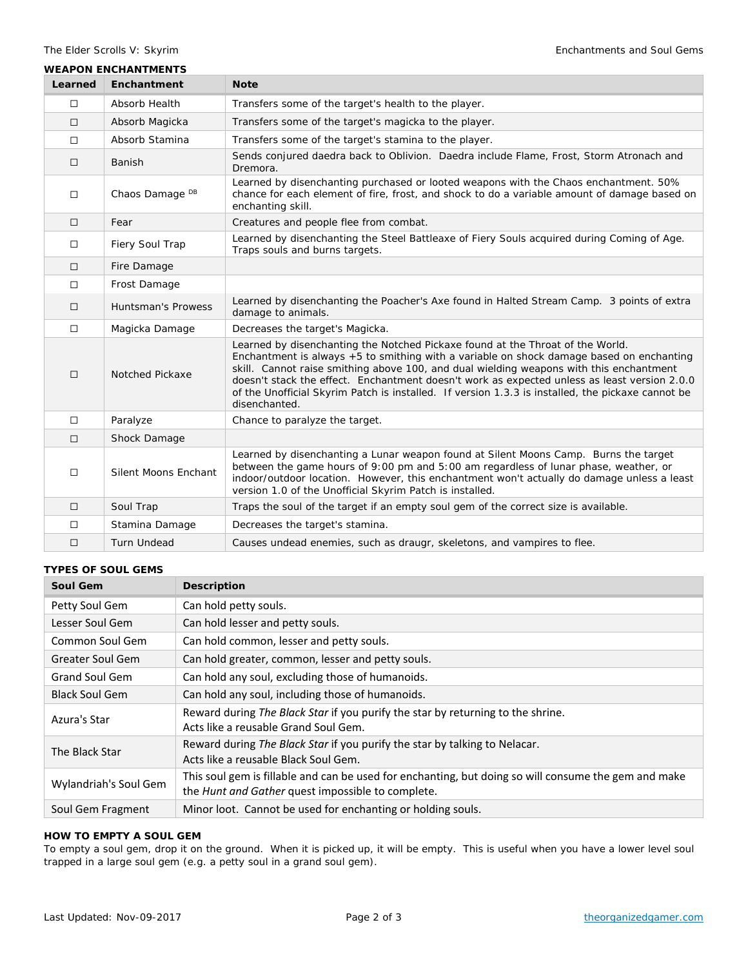#### **WEAPON ENCHANTMENTS**

| Learned | Enchantment                | <b>Note</b>                                                                                                                                                                                                                                                                                                                                                                                                                                                                                 |
|---------|----------------------------|---------------------------------------------------------------------------------------------------------------------------------------------------------------------------------------------------------------------------------------------------------------------------------------------------------------------------------------------------------------------------------------------------------------------------------------------------------------------------------------------|
| $\Box$  | Absorb Health              | Transfers some of the target's health to the player.                                                                                                                                                                                                                                                                                                                                                                                                                                        |
| $\Box$  | Absorb Magicka             | Transfers some of the target's magicka to the player.                                                                                                                                                                                                                                                                                                                                                                                                                                       |
| $\Box$  | Absorb Stamina             | Transfers some of the target's stamina to the player.                                                                                                                                                                                                                                                                                                                                                                                                                                       |
| $\Box$  | Banish                     | Sends conjured daedra back to Oblivion. Daedra include Flame, Frost, Storm Atronach and<br>Dremora.                                                                                                                                                                                                                                                                                                                                                                                         |
| $\Box$  | Chaos Damage <sup>DB</sup> | Learned by disenchanting purchased or looted weapons with the Chaos enchantment. 50%<br>chance for each element of fire, frost, and shock to do a variable amount of damage based on<br>enchanting skill.                                                                                                                                                                                                                                                                                   |
| $\Box$  | Fear                       | Creatures and people flee from combat.                                                                                                                                                                                                                                                                                                                                                                                                                                                      |
| $\Box$  | Fiery Soul Trap            | Learned by disenchanting the Steel Battleaxe of Fiery Souls acquired during Coming of Age.<br>Traps souls and burns targets.                                                                                                                                                                                                                                                                                                                                                                |
| $\Box$  | Fire Damage                |                                                                                                                                                                                                                                                                                                                                                                                                                                                                                             |
| $\Box$  | Frost Damage               |                                                                                                                                                                                                                                                                                                                                                                                                                                                                                             |
| $\Box$  | <b>Huntsman's Prowess</b>  | Learned by disenchanting the Poacher's Axe found in Halted Stream Camp. 3 points of extra<br>damage to animals.                                                                                                                                                                                                                                                                                                                                                                             |
| $\Box$  | Magicka Damage             | Decreases the target's Magicka.                                                                                                                                                                                                                                                                                                                                                                                                                                                             |
| $\Box$  | <b>Notched Pickaxe</b>     | Learned by disenchanting the Notched Pickaxe found at the Throat of the World.<br>Enchantment is always +5 to smithing with a variable on shock damage based on enchanting<br>skill. Cannot raise smithing above 100, and dual wielding weapons with this enchantment<br>doesn't stack the effect. Enchantment doesn't work as expected unless as least version 2.0.0<br>of the Unofficial Skyrim Patch is installed. If version 1.3.3 is installed, the pickaxe cannot be<br>disenchanted. |
| $\Box$  | Paralyze                   | Chance to paralyze the target.                                                                                                                                                                                                                                                                                                                                                                                                                                                              |
| $\Box$  | Shock Damage               |                                                                                                                                                                                                                                                                                                                                                                                                                                                                                             |
| $\Box$  | Silent Moons Enchant       | Learned by disenchanting a Lunar weapon found at Silent Moons Camp. Burns the target<br>between the game hours of 9:00 pm and 5:00 am regardless of lunar phase, weather, or<br>indoor/outdoor location. However, this enchantment won't actually do damage unless a least<br>version 1.0 of the Unofficial Skyrim Patch is installed.                                                                                                                                                      |
| $\Box$  | Soul Trap                  | Traps the soul of the target if an empty soul gem of the correct size is available.                                                                                                                                                                                                                                                                                                                                                                                                         |
| $\Box$  | Stamina Damage             | Decreases the target's stamina.                                                                                                                                                                                                                                                                                                                                                                                                                                                             |
| □       | <b>Turn Undead</b>         | Causes undead enemies, such as draugr, skeletons, and vampires to flee.                                                                                                                                                                                                                                                                                                                                                                                                                     |

#### **TYPES OF SOUL GEMS**

| Soul Gem              | <b>Description</b>                                                                                                                                        |
|-----------------------|-----------------------------------------------------------------------------------------------------------------------------------------------------------|
| Petty Soul Gem        | Can hold petty souls.                                                                                                                                     |
| Lesser Soul Gem       | Can hold lesser and petty souls.                                                                                                                          |
| Common Soul Gem       | Can hold common, lesser and petty souls.                                                                                                                  |
| Greater Soul Gem      | Can hold greater, common, lesser and petty souls.                                                                                                         |
| <b>Grand Soul Gem</b> | Can hold any soul, excluding those of humanoids.                                                                                                          |
| <b>Black Soul Gem</b> | Can hold any soul, including those of humanoids.                                                                                                          |
| Azura's Star          | Reward during The Black Star if you purify the star by returning to the shrine.<br>Acts like a reusable Grand Soul Gem.                                   |
| The Black Star        | Reward during The Black Star if you purify the star by talking to Nelacar.<br>Acts like a reusable Black Soul Gem.                                        |
| Wylandriah's Soul Gem | This soul gem is fillable and can be used for enchanting, but doing so will consume the gem and make<br>the Hunt and Gather quest impossible to complete. |
| Soul Gem Fragment     | Minor loot. Cannot be used for enchanting or holding souls.                                                                                               |

### **HOW TO EMPTY A SOUL GEM**

To empty a soul gem, drop it on the ground. When it is picked up, it will be empty. This is useful when you have a lower level soul trapped in a large soul gem (e.g. a petty soul in a grand soul gem).